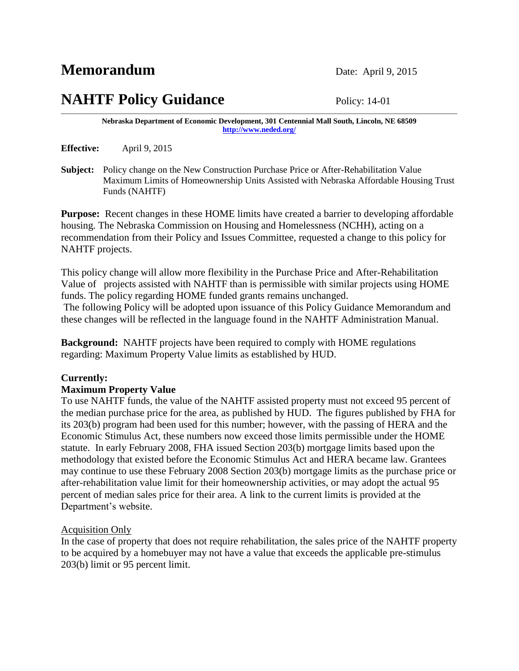# **NAHTF Policy Guidance** Policy: 14-01

**Nebraska Department of Economic Development, 301 Centennial Mall South, Lincoln, NE 68509 <http://www.neded.org/>**

**Effective:** April 9, 2015

**Subject:** Policy change on the New Construction Purchase Price or After-Rehabilitation Value Maximum Limits of Homeownership Units Assisted with Nebraska Affordable Housing Trust Funds (NAHTF)

**Purpose:** Recent changes in these HOME limits have created a barrier to developing affordable housing. The Nebraska Commission on Housing and Homelessness (NCHH), acting on a recommendation from their Policy and Issues Committee, requested a change to this policy for NAHTF projects.

This policy change will allow more flexibility in the Purchase Price and After-Rehabilitation Value of projects assisted with NAHTF than is permissible with similar projects using HOME funds. The policy regarding HOME funded grants remains unchanged.

The following Policy will be adopted upon issuance of this Policy Guidance Memorandum and these changes will be reflected in the language found in the NAHTF Administration Manual.

**Background:** NAHTF projects have been required to comply with HOME regulations regarding: Maximum Property Value limits as established by HUD.

# **Currently:**

# **Maximum Property Value**

To use NAHTF funds, the value of the NAHTF assisted property must not exceed 95 percent of the median purchase price for the area, as published by HUD. The figures published by FHA for its 203(b) program had been used for this number; however, with the passing of HERA and the Economic Stimulus Act, these numbers now exceed those limits permissible under the HOME statute. In early February 2008, FHA issued Section 203(b) mortgage limits based upon the methodology that existed before the Economic Stimulus Act and HERA became law. Grantees may continue to use these February 2008 Section 203(b) mortgage limits as the purchase price or after-rehabilitation value limit for their homeownership activities, or may adopt the actual 95 percent of median sales price for their area. A link to the current limits is provided at the Department's website.

# Acquisition Only

In the case of property that does not require rehabilitation, the sales price of the NAHTF property to be acquired by a homebuyer may not have a value that exceeds the applicable pre-stimulus 203(b) limit or 95 percent limit.